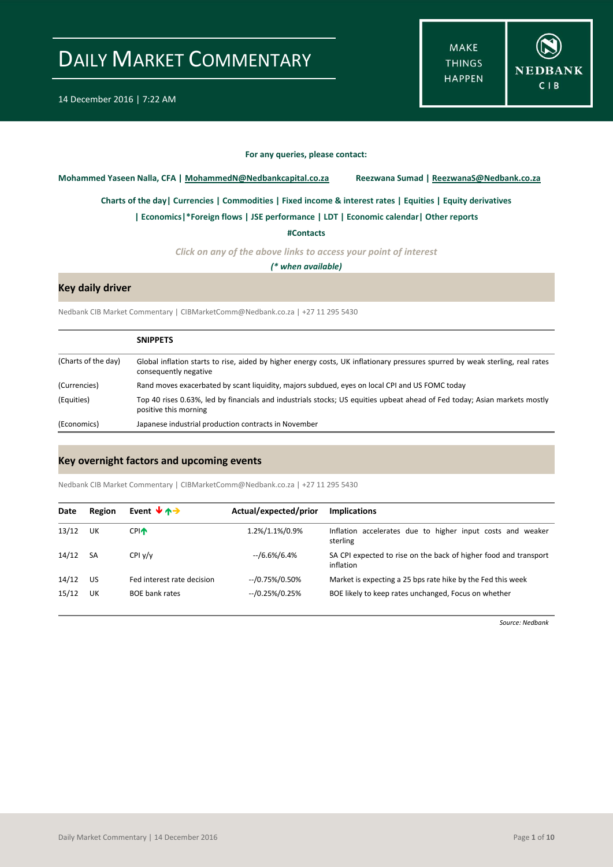**MAKE THINGS HAPPEN** 



#### **For any queries, please contact:**

<span id="page-0-0"></span>**Mohammed Yaseen Nalla, CFA | MohammedN@Nedbankcapital.co.za Reezwana Sumad | ReezwanaS@Nedbank.co.za**

**[Charts of the day|](#page-1-0) [Currencies](#page-2-0) [| Commodities](#page-3-0) | [Fixed income & interest rates](#page-4-0) [| Equities](#page-5-0) | Equity derivatives**

**[| Economics|](#page-6-0)\*Foreign flows | [JSE performance](#page-7-0) | LDT [| Economic calendar|](#page-6-1) Other reports** 

**[#Contacts](#page-8-0)**

*Click on any of the above links to access your point of interest*

*(\* when available)*

### **Key daily driver**

Nedbank CIB Market Commentary | CIBMarketComm@Nedbank.co.za | +27 11 295 5430

|                     | <b>SNIPPETS</b>                                                                                                                                        |
|---------------------|--------------------------------------------------------------------------------------------------------------------------------------------------------|
| (Charts of the day) | Global inflation starts to rise, aided by higher energy costs, UK inflationary pressures spurred by weak sterling, real rates<br>consequently negative |
| (Currencies)        | Rand moves exacerbated by scant liquidity, majors subdued, eyes on local CPI and US FOMC today                                                         |
| (Equities)          | Top 40 rises 0.63%, led by financials and industrials stocks; US equities upbeat ahead of Fed today; Asian markets mostly<br>positive this morning     |
| (Economics)         | Japanese industrial production contracts in November                                                                                                   |

### **Key overnight factors and upcoming events**

Nedbank CIB Market Commentary | CIBMarketComm@Nedbank.co.za | +27 11 295 5430

| Date  | Region    | Event $\forall$ $\land \rightarrow$ | Actual/expected/prior | <b>Implications</b>                                                           |
|-------|-----------|-------------------------------------|-----------------------|-------------------------------------------------------------------------------|
| 13/12 | UK        | <b>CPI</b> <sup></sup>              | 1.2%/1.1%/0.9%        | Inflation accelerates due to higher input costs and weaker<br>sterling        |
| 14/12 | <b>SA</b> | CPIV/v                              | --/6.6%/6.4%          | SA CPI expected to rise on the back of higher food and transport<br>inflation |
| 14/12 | US        | Fed interest rate decision          | $-$ /0.75%/0.50%      | Market is expecting a 25 bps rate hike by the Fed this week                   |
| 15/12 | UK        | <b>BOE bank rates</b>               | $-$ /0.25%/0.25%      | BOE likely to keep rates unchanged, Focus on whether                          |

*Source: Nedbank*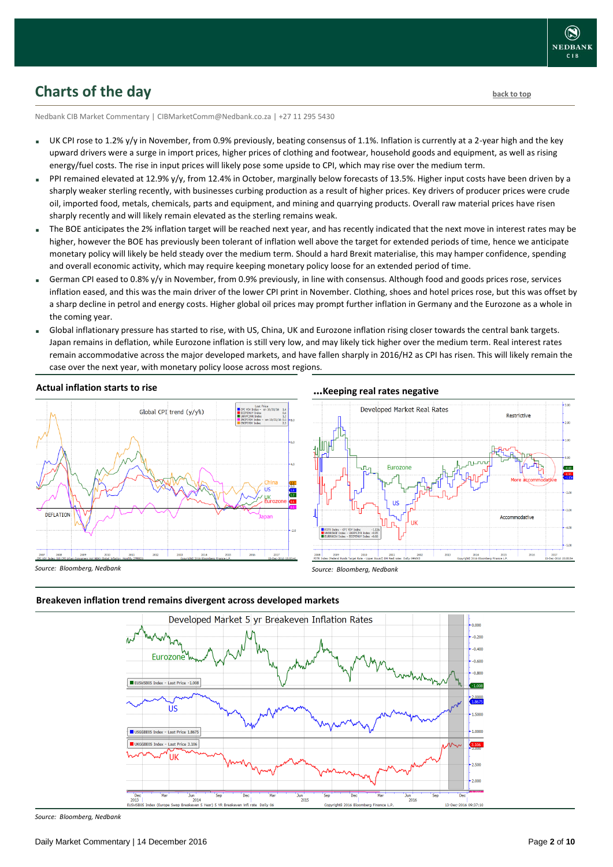# <span id="page-1-0"></span>**Charts of the day** [back to top](#page-0-0) **back to top**

Nedbank CIB Market Commentary | CIBMarketComm@Nedbank.co.za | +27 11 295 5430

- UK CPI rose to 1.2% y/y in November, from 0.9% previously, beating consensus of 1.1%. Inflation is currently at a 2-year high and the key upward drivers were a surge in import prices, higher prices of clothing and footwear, household goods and equipment, as well as rising energy/fuel costs. The rise in input prices will likely pose some upside to CPI, which may rise over the medium term.
- PPI remained elevated at 12.9% y/y, from 12.4% in October, marginally below forecasts of 13.5%. Higher input costs have been driven by a sharply weaker sterling recently, with businesses curbing production as a result of higher prices. Key drivers of producer prices were crude oil, imported food, metals, chemicals, parts and equipment, and mining and quarrying products. Overall raw material prices have risen sharply recently and will likely remain elevated as the sterling remains weak.
- The BOE anticipates the 2% inflation target will be reached next year, and has recently indicated that the next move in interest rates may be higher, however the BOE has previously been tolerant of inflation well above the target for extended periods of time, hence we anticipate monetary policy will likely be held steady over the medium term. Should a hard Brexit materialise, this may hamper confidence, spending and overall economic activity, which may require keeping monetary policy loose for an extended period of time.
- German CPI eased to 0.8% y/y in November, from 0.9% previously, in line with consensus. Although food and goods prices rose, services inflation eased, and this was the main driver of the lower CPI print in November. Clothing, shoes and hotel prices rose, but this was offset by a sharp decline in petrol and energy costs. Higher global oil prices may prompt further inflation in Germany and the Eurozone as a whole in the coming year.
- Global inflationary pressure has started to rise, with US, China, UK and Eurozone inflation rising closer towards the central bank targets. Japan remains in deflation, while Eurozone inflation is still very low, and may likely tick higher over the medium term. Real interest rates remain accommodative across the major developed markets, and have fallen sharply in 2016/H2 as CPI has risen. This will likely remain the case over the next year, with monetary policy loose across most regions.

### **Actual inflation starts to rise**



### **…Keeping real rates negative**



*Source: Bloomberg, Nedbank*

### **Breakeven inflation trend remains divergent across developed markets**



*Source: Bloomberg, Nedbank*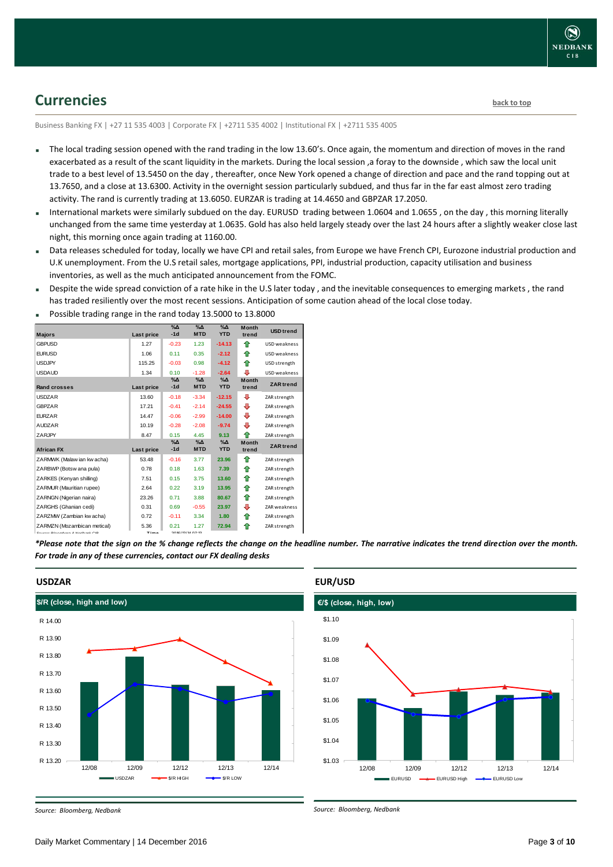## <span id="page-2-0"></span>**Currencies [back to top](#page-0-0)**

Business Banking FX | +27 11 535 4003 | Corporate FX | +2711 535 4002 | Institutional FX | +2711 535 4005

- The local trading session opened with the rand trading in the low 13.60's. Once again, the momentum and direction of moves in the rand exacerbated as a result of the scant liquidity in the markets. During the local session ,a foray to the downside , which saw the local unit trade to a best level of 13.5450 on the day , thereafter, once New York opened a change of direction and pace and the rand topping out at 13.7650, and a close at 13.6300. Activity in the overnight session particularly subdued, and thus far in the far east almost zero trading activity. The rand is currently trading at 13.6050. EURZAR is trading at 14.4650 and GBPZAR 17.2050.
- International markets were similarly subdued on the day. EURUSD trading between 1.0604 and 1.0655 , on the day , this morning literally unchanged from the same time yesterday at 1.0635. Gold has also held largely steady over the last 24 hours after a slightly weaker close last night, this morning once again trading at 1160.00.
- Data releases scheduled for today, locally we have CPI and retail sales, from Europe we have French CPI, Eurozone industrial production and U.K unemployment. From the U.S retail sales, mortgage applications, PPI, industrial production, capacity utilisation and business inventories, as well as the much anticipated announcement from the FOMC.
- Despite the wide spread conviction of a rate hike in the U.S later today , and the inevitable consequences to emerging markets , the rand has traded resiliently over the most recent sessions. Anticipation of some caution ahead of the local close today.

|                                                   |             | $\%$ $\Delta$ | $\Delta_0$       | $\sqrt{\Delta}$ | <b>Month</b> | <b>USD trend</b>    |
|---------------------------------------------------|-------------|---------------|------------------|-----------------|--------------|---------------------|
| <b>Majors</b>                                     | Last price  | $-1d$         | <b>MTD</b>       | <b>YTD</b>      | trend        |                     |
| <b>GBPUSD</b>                                     | 1.27        | $-0.23$       | 1.23             | $-14.13$        | ⇑            | USD weakness        |
| <b>EURUSD</b>                                     | 1.06        | 0.11          | 0.35             | $-2.12$         | ⇑            | USD weakness        |
| <b>USDJPY</b>                                     | 115.25      | $-0.03$       | 0.98             | $-4.12$         | ⇑            | USD strength        |
| <b>USDAUD</b>                                     | 1.34        | 0.10          | $-1.28$          | $-2.64$         | ⊕            | USD weakness        |
|                                                   |             | $% \Delta$    | $\Delta$         | $\Delta$        | Month        | <b>ZAR</b> trend    |
| Rand crosses                                      | Last price  | $-1d$         | <b>MTD</b>       | <b>YTD</b>      | trend        |                     |
| <b>USDZAR</b>                                     | 13.60       | $-0.18$       | $-3.34$          | $-12.15$        | ⊕            | ZAR strength        |
| <b>GBPZAR</b>                                     | 17.21       | $-0.41$       | $-2.14$          | $-24.55$        | ⊕            | ZAR strength        |
| <b>FURZAR</b>                                     | 14.47       | $-0.06$       | $-2.99$          | $-14.00$        | ⊕            | ZAR strength        |
| <b>AUDZAR</b>                                     | 10.19       | $-0.28$       | $-2.08$          | $-9.74$         | ⊕            | ZAR strength        |
| ZARJPY                                            | 8.47        | 0.15          | 4.45             | 9.13            | ♠            | ZAR strength        |
|                                                   |             | $% \Delta$    | $\%$ $\Delta$    | $\Delta$        | <b>Month</b> | <b>ZAR</b> trend    |
| <b>African FX</b>                                 | Last price  | $-1d$         | <b>MTD</b>       | <b>YTD</b>      | trend        |                     |
| ZARMWK (Malaw ian kw acha)                        | 53.48       | $-0.16$       | 3.77             | 23.96           | ⇑            | ZAR strength        |
| ZARBWP (Botsw ana pula)                           | 0.78        | 0.18          | 1.63             | 7.39            | ⇑            | ZAR strength        |
| ZARKES (Kenyan shilling)                          | 7.51        | 0.15          | 3.75             | 13.60           | ♠            | ZAR strength        |
| ZARMUR (Mauritian rupee)                          | 2.64        | 0.22          | 3.19             | 13.95           | ⇑            | ZAR strength        |
| ZARNGN (Nigerian naira)                           | 23.26       | 0.71          | 3.88             | 80.67           | ⇑            | ZAR strength        |
| ZARGHS (Ghanian cedi)                             | 0.31        | 0.69          | $-0.55$          | 23.97           | ⊕            | <b>ZAR</b> weakness |
| ZARZMW (Zambian kw acha)                          | 0.72        | $-0.11$       | 3.34             | 1.80            | ⇑            | ZAR strength        |
| ZARMZN (Mozambican metical)                       | 5.36        | 0.21          | 1.27             | 72.94           | ♠            | ZAR strength        |
| Correspondent of the production of Alasthania CID | <b>Time</b> |               | 2010/12/14 07:12 |                 |              |                     |

Possible trading range in the rand today 13.5000 to 13.8000

*\*Please note that the sign on the % change reflects the change on the headline number. The narrative indicates the trend direction over the month. For trade in any of these currencies, contact our FX dealing desks*



### **USDZAR**

**EUR/USD** 



#### *Source: Bloomberg, Nedbank*

*Source: Bloomberg, Nedbank*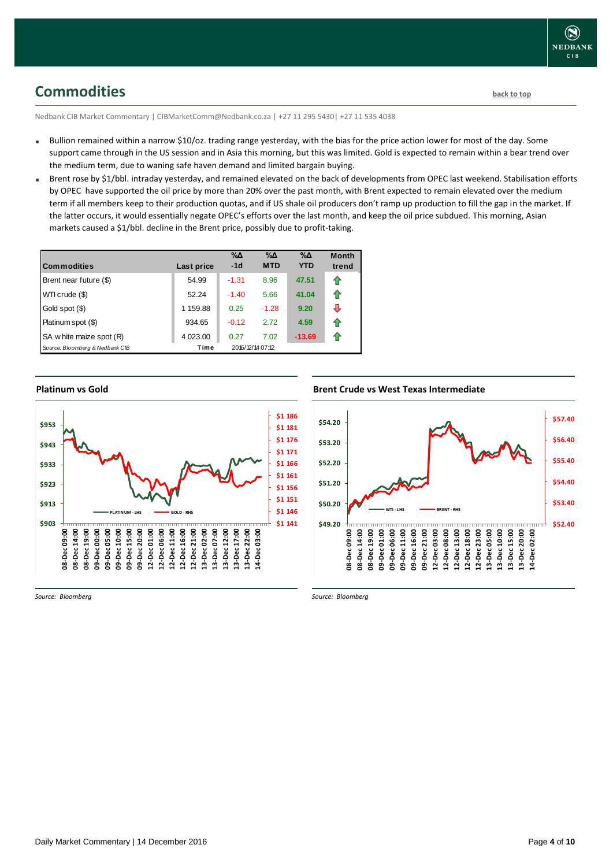<span id="page-3-0"></span>**Commodities [back to top](#page-0-0)** 

Nedbank CIB Market Commentary | CIBMarketComm@Nedbank.co.za | +27 11 295 5430| +27 11 535 4038

- Bullion remained within a narrow \$10/oz. trading range yesterday, with the bias for the price action lower for most of the day. Some support came through in the US session and in Asia this morning, but this was limited. Gold is expected to remain within a bear trend over the medium term, due to waning safe haven demand and limited bargain buying.
- Brent rose by \$1/bbl. intraday yesterday, and remained elevated on the back of developments from OPEC last weekend. Stabilisation efforts by OPEC have supported the oil price by more than 20% over the past month, with Brent expected to remain elevated over the medium term if all members keep to their production quotas, and if US shale oil producers don't ramp up production to fill the gap in the market. If the latter occurs, it would essentially negate OPEC's efforts over the last month, and keep the oil price subdued. This morning, Asian markets caused a \$1/bbl. decline in the Brent price, possibly due to profit-taking.

| <b>Commodities</b>              | Last price | %Δ<br>$-1d$ | $\% \Delta$<br><b>MTD</b> | $\% \Delta$<br><b>YTD</b> | <b>Month</b><br>trend |
|---------------------------------|------------|-------------|---------------------------|---------------------------|-----------------------|
| Brent near future (\$)          | 54.99      | $-1.31$     | 8.96                      | 47.51                     | ⇑                     |
| WTI crude (\$)                  | 52.24      | $-1.40$     | 5.66                      | 41.04                     | ⇑                     |
| Gold spot (\$)                  | 1 159.88   | 0.25        | $-1.28$                   | 9.20                      | ⊕                     |
| Platinum spot (\$)              | 934.65     | $-0.12$     | 2.72                      | 4.59                      | ⇑                     |
| SA w hite maize spot (R)        | 4 0 23.00  | 0.27        | 7.02                      | $-13.69$                  | ⇑                     |
| Source: Bloomberg & Nedbank CIB | Time       |             | 2016/12/14 07:12          |                           |                       |

### **Platinum vs Gold**



*Source: Bloomberg*

### **Brent Crude vs West Texas Intermediate**



*Source: Bloomberg*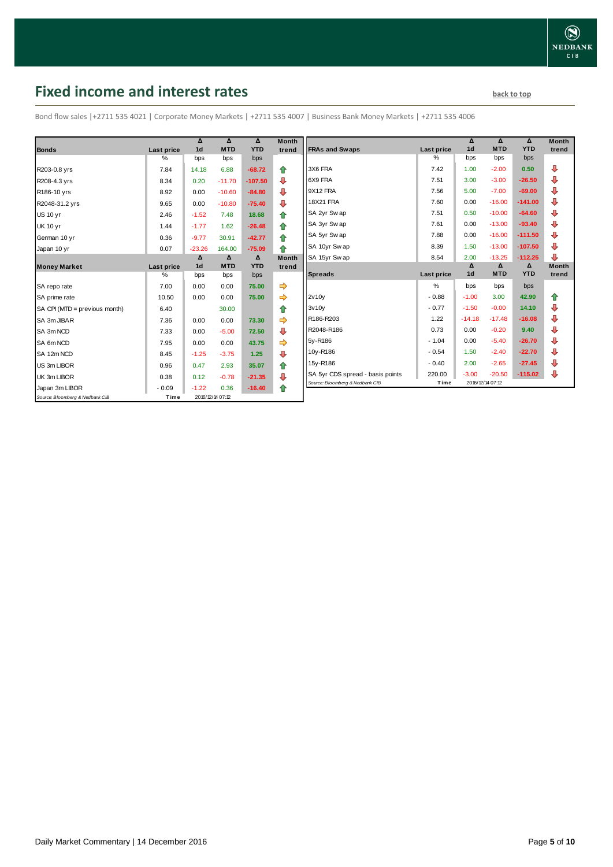# <span id="page-4-0"></span>**Fixed income and interest rates back to the line of the set of the set of the set of the set of the set of the set of the set of the set of the set of the set of the set of the set of the set of the set of the set of th**

Bond flow sales |+2711 535 4021 | Corporate Money Markets | +2711 535 4007 | Business Bank Money Markets | +2711 535 4006

|                                 |            | Δ              | Δ                | Δ          | <b>Month</b> |
|---------------------------------|------------|----------------|------------------|------------|--------------|
| <b>Bonds</b>                    | Last price | 1 <sub>d</sub> | <b>MTD</b>       | <b>YTD</b> | trend        |
|                                 | %          | bps            | bps              | bps        |              |
| R203-0.8 yrs                    | 7.84       | 14.18          | 6.88             | $-68.72$   | ⇑            |
| R208-4.3 yrs                    | 8.34       | 0.20           | $-11.70$         | $-107.50$  | ⊕            |
| R186-10 yrs                     | 8.92       | 0.00           | $-10.60$         | $-84.80$   | ⊕            |
| R2048-31.2 yrs                  | 9.65       | 0.00           | $-10.80$         | $-75.40$   | ⊕            |
| <b>US 10 yr</b>                 | 2.46       | $-1.52$        | 7.48             | 18.68      | ⇑            |
| <b>UK 10 yr</b>                 | 1.44       | $-1.77$        | 1.62             | $-26.48$   | ⇑            |
| German 10 yr                    | 0.36       | $-9.77$        | 30.91            | $-42.77$   | ⇑            |
| Japan 10 yr                     | 0.07       | $-23.26$       | 164.00           | $-75.09$   | ♠            |
|                                 |            | Δ              | $\Delta$         | Δ          | <b>Month</b> |
| <b>Money Market</b>             | Last price | 1 <sub>d</sub> | <b>MTD</b>       | <b>YTD</b> | trend        |
|                                 | $\%$       | bps            | bps              | bps        |              |
| SA repo rate                    | 7.00       | 0.00           | 0.00             | 75.00      | ⇛            |
| SA prime rate                   | 10.50      | 0.00           | 0.00             | 75.00      | ⇛            |
| SA CPI (MTD = previous month)   | 6.40       |                | 30.00            |            | ⇑            |
| SA 3m JIBAR                     | 7.36       | 0.00           | 0.00             | 73.30      |              |
| SA 3m NCD                       | 7.33       | 0.00           | $-5.00$          | 72.50      | ⊕            |
| SA 6m NCD                       | 7.95       | 0.00           | 0.00             | 43.75      | ⇨            |
| SA 12m NCD                      | 8.45       | $-1.25$        | $-3.75$          | 1.25       | ⊕            |
| US 3m LIBOR                     | 0.96       | 0.47           | 2.93             | 35.07      | ⇑            |
| UK 3m LIBOR                     | 0.38       | 0.12           | $-0.78$          | $-21.35$   | ⊕            |
| Japan 3m LIBOR                  | $-0.09$    | $-1.22$        | 0.36             | $-16.40$   | ⇑            |
| Source: Bloomberg & Nedbank CIB | Time       |                | 2016/12/14 07:12 |            |              |

|                                  |            | Δ              | Δ          | Δ          | <b>Month</b> |
|----------------------------------|------------|----------------|------------|------------|--------------|
| <b>FRAs and Swaps</b>            | Last price | 1 <sub>d</sub> | <b>MTD</b> | <b>YTD</b> | trend        |
|                                  | %          | bps            | bps        | bps        |              |
| 3X6 FRA                          | 7.42       | 1.00           | $-2.00$    | 0.50       | ⊕            |
| 6X9 FRA                          | 7.51       | 3.00           | $-3.00$    | $-26.50$   | ⊕            |
| 9X12 FRA                         | 7.56       | 5.00           | $-7.00$    | $-69.00$   | ⊕            |
| <b>18X21 FRA</b>                 | 7.60       | 0.00           | $-16.00$   | $-141.00$  | ⊕            |
| SA 2yr Sw ap                     | 7.51       | 0.50           | $-10.00$   | $-64.60$   | ⊕            |
| SA 3yr Swap                      | 7.61       | 0.00           | $-13.00$   | $-93.40$   | ⊕            |
| SA 5yr Sw ap                     | 7.88       | 0.00           | $-16.00$   | $-111.50$  | ⊕            |
| SA 10yr Sw ap                    | 8.39       | 1.50           | $-13.00$   | $-107.50$  | ⊕            |
| SA 15yr Sw ap                    | 8.54       | 2.00           | $-13.25$   | $-112.25$  | ⊕            |
|                                  |            | Δ              | Δ          | Δ          | <b>Month</b> |
| <b>Spreads</b>                   | Last price | 1 <sub>d</sub> | <b>MTD</b> | <b>YTD</b> | trend        |
|                                  | %          | bps            | bps        | bps        |              |
| 2v10v                            | $-0.88$    | $-1.00$        | 3.00       | 42.90      | ⇑            |
| 3v10v                            | $-0.77$    | $-1.50$        | $-0.00$    | 14.10      | ⊕            |
| R186-R203                        | 1.22       | $-14.18$       | $-17.48$   | $-16.08$   | ⊕            |
| R2048-R186                       | 0.73       | 0.00           | $-0.20$    | 9.40       | ⊕            |
| 5y-R186                          | $-1.04$    | 0.00           | $-5.40$    | $-26.70$   | ⊕            |
|                                  |            | 1.50           | $-2.40$    | $-22.70$   | ⊕            |
| 10y-R186                         | $-0.54$    |                |            |            |              |
| 15y-R186                         | $-0.40$    | 2.00           | $-2.65$    | $-27.45$   | ⊕            |
| SA 5yr CDS spread - basis points | 220.00     | $-3.00$        | $-20.50$   | $-115.02$  | ⊕            |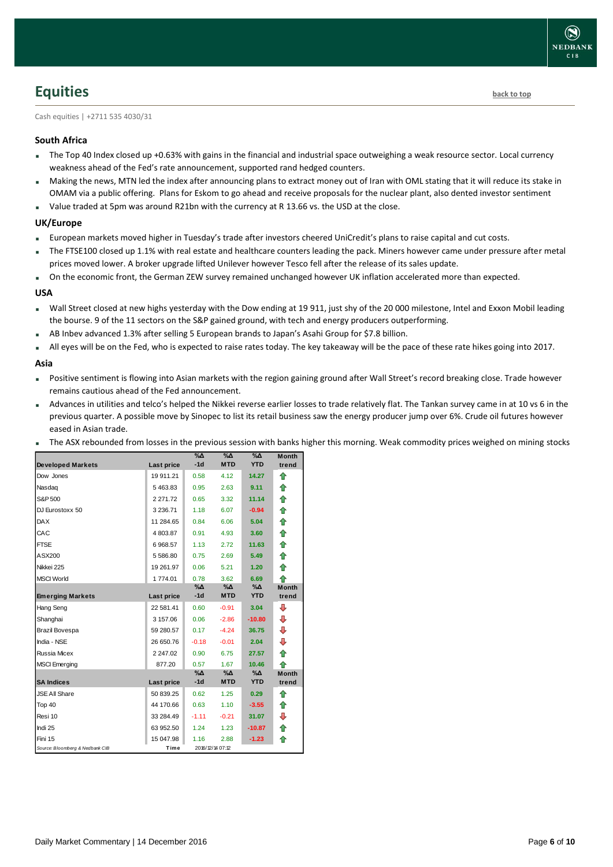# <span id="page-5-0"></span>**Equities [back to top](#page-0-0)**

Cash equities | +2711 535 4030/31

### **South Africa**

- The Top 40 Index closed up +0.63% with gains in the financial and industrial space outweighing a weak resource sector. Local currency weakness ahead of the Fed's rate announcement, supported rand hedged counters.
- Making the news, MTN led the index after announcing plans to extract money out of Iran with OML stating that it will reduce its stake in OMAM via a public offering. Plans for Eskom to go ahead and receive proposals for the nuclear plant, also dented investor sentiment
- Value traded at 5pm was around R21bn with the currency at R 13.66 vs. the USD at the close.

### **UK/Europe**

- European markets moved higher in Tuesday's trade after investors cheered UniCredit's plans to raise capital and cut costs.
- The FTSE100 closed up 1.1% with real estate and healthcare counters leading the pack. Miners however came under pressure after metal prices moved lower. A broker upgrade lifted Unilever however Tesco fell after the release of its sales update.
- On the economic front, the German ZEW survey remained unchanged however UK inflation accelerated more than expected.

### **USA**

- Wall Street closed at new highs yesterday with the Dow ending at 19 911, just shy of the 20 000 milestone, Intel and Exxon Mobil leading the bourse. 9 of the 11 sectors on the S&P gained ground, with tech and energy producers outperforming.
- AB Inbev advanced 1.3% after selling 5 European brands to Japan's Asahi Group for \$7.8 billion.
- All eyes will be on the Fed, who is expected to raise rates today. The key takeaway will be the pace of these rate hikes going into 2017.

### **Asia**

- Positive sentiment is flowing into Asian markets with the region gaining ground after Wall Street's record breaking close. Trade however remains cautious ahead of the Fed announcement.
- Advances in utilities and telco's helped the Nikkei reverse earlier losses to trade relatively flat. The Tankan survey came in at 10 vs 6 in the previous quarter. A possible move by Sinopec to list its retail business saw the energy producer jump over 6%. Crude oil futures however eased in Asian trade.
- The ASX rebounded from losses in the previous session with banks higher this morning. Weak commodity prices weighed on mining stocks

|                                 |               | $\%$ $\Delta$ | $\%$ $\Delta$    | $\%$ $\Delta$ | <b>Month</b> |
|---------------------------------|---------------|---------------|------------------|---------------|--------------|
| <b>Developed Markets</b>        | Last price    | $-1d$         | <b>MTD</b>       | <b>YTD</b>    | trend        |
| Dow Jones                       | 19 911.21     | 0.58          | 4.12             | 14.27         | ⇑            |
| Nasdag                          | 5463.83       | 0.95          | 2.63             | 9.11          | ⇑            |
| S&P 500                         | 2 2 7 1 . 7 2 | 0.65          | 3.32             | 11.14         | ⇑            |
| DJ Eurostoxx 50                 | 3 2 3 6.71    | 1.18          | 6.07             | $-0.94$       | 合            |
| <b>DAX</b>                      | 11 284.65     | 0.84          | 6.06             | 5.04          | ⇑            |
| CAC                             | 4803.87       | 0.91          | 4.93             | 3.60          | 合            |
| <b>FTSE</b>                     | 6968.57       | 1.13          | 2.72             | 11.63         | ⇑            |
| ASX200                          | 5 586.80      | 0.75          | 2.69             | 5.49          | 合            |
| Nikkei 225                      | 19 261.97     | 0.06          | 5.21             | 1.20          | ↟            |
| <b>MSCI World</b>               | 1774.01       | 0.78          | 3.62             | 6.69          | ♠            |
|                                 |               | $\% \Delta$   | %Δ               | $\%$ $\Delta$ | <b>Month</b> |
| <b>Emerging Markets</b>         | Last price    | $-1d$         | <b>MTD</b>       | <b>YTD</b>    | trend        |
| Hang Seng                       | 22 581.41     | 0.60          | $-0.91$          | 3.04          | ⊕            |
| Shanghai                        | 3 157.06      | 0.06          | $-2.86$          | $-10.80$      | ⊕            |
| <b>Brazil Bovespa</b>           | 59 280.57     | 0.17          | $-4.24$          | 36.75         | ⊕            |
| India - NSE                     | 26 650.76     | $-0.18$       | $-0.01$          | 2.04          | ⊕            |
| Russia Micex                    | 2 247.02      | 0.90          | 6.75             | 27.57         | ⇑            |
| <b>MSCI</b> Emerging            | 877.20        | 0.57          | 1.67             | 10.46         | ♠            |
|                                 |               | $\% \Delta$   | %Δ               | $\%$ $\Delta$ | <b>Month</b> |
| <b>SA Indices</b>               | Last price    | $-1d$         | <b>MTD</b>       | <b>YTD</b>    | trend        |
| <b>JSE All Share</b>            | 50 839.25     | 0.62          | 1.25             | 0.29          | ♠            |
| Top 40                          | 44 170.66     | 0.63          | 1.10             | $-3.55$       | ⇑            |
| Resi 10                         | 33 284.49     | $-1.11$       | $-0.21$          | 31.07         | ⊕            |
| Indi 25                         | 63 952.50     | 1.24          | 1.23             | $-10.87$      | ↟            |
| Fini 15                         | 15 047.98     | 1.16          | 2.88             | $-1.23$       | ♠            |
| Source: Bloomberg & Nedbank CIB | Time          |               | 2016/12/14 07:12 |               |              |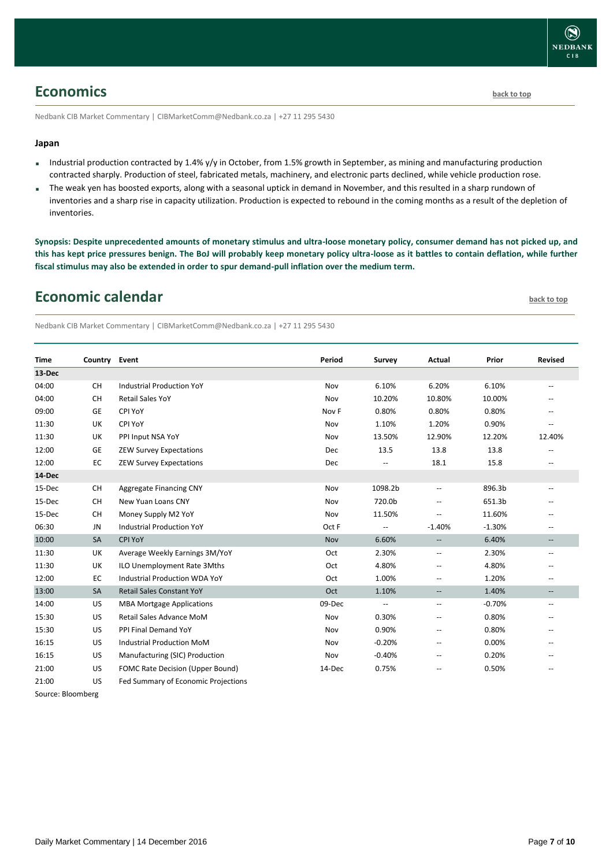### <span id="page-6-0"></span>**Economics [back to top](#page-0-0)**

Nedbank CIB Market Commentary | CIBMarketComm@Nedbank.co.za | +27 11 295 5430

### **Japan**

- Industrial production contracted by 1.4% y/y in October, from 1.5% growth in September, as mining and manufacturing production contracted sharply. Production of steel, fabricated metals, machinery, and electronic parts declined, while vehicle production rose.
- The weak yen has boosted exports, along with a seasonal uptick in demand in November, and this resulted in a sharp rundown of inventories and a sharp rise in capacity utilization. Production is expected to rebound in the coming months as a result of the depletion of inventories.

**Synopsis: Despite unprecedented amounts of monetary stimulus and ultra-loose monetary policy, consumer demand has not picked up, and this has kept price pressures benign. The BoJ will probably keep monetary policy ultra-loose as it battles to contain deflation, while further fiscal stimulus may also be extended in order to spur demand-pull inflation over the medium term.**

### <span id="page-6-1"></span>**Economic calendar [back to top](#page-0-0)**

Nedbank CIB Market Commentary | CIBMarketComm@Nedbank.co.za | +27 11 295 5430

| <b>Time</b> | Country Event |                                     | Period     | Survey                   | Actual                                              | Prior    | <b>Revised</b>           |
|-------------|---------------|-------------------------------------|------------|--------------------------|-----------------------------------------------------|----------|--------------------------|
| 13-Dec      |               |                                     |            |                          |                                                     |          |                          |
| 04:00       | <b>CH</b>     | <b>Industrial Production YoY</b>    | Nov        | 6.10%                    | 6.20%                                               | 6.10%    | $\mathbf{u}$             |
| 04:00       | <b>CH</b>     | <b>Retail Sales YoY</b>             | Nov        | 10.20%                   | 10.80%                                              | 10.00%   |                          |
| 09:00       | <b>GE</b>     | CPI YoY                             | Nov F      | 0.80%                    | 0.80%                                               | 0.80%    | $\overline{\phantom{a}}$ |
| 11:30       | UK            | CPI YoY                             | Nov        | 1.10%                    | 1.20%                                               | 0.90%    | $\overline{a}$           |
| 11:30       | UK            | PPI Input NSA YoY                   | Nov        | 13.50%                   | 12.90%                                              | 12.20%   | 12.40%                   |
| 12:00       | GE            | <b>ZEW Survey Expectations</b>      | Dec        | 13.5                     | 13.8                                                | 13.8     |                          |
| 12:00       | EC            | <b>ZEW Survey Expectations</b>      | Dec        | $-$                      | 18.1                                                | 15.8     | $\overline{\phantom{a}}$ |
| 14-Dec      |               |                                     |            |                          |                                                     |          |                          |
| 15-Dec      | CH            | Aggregate Financing CNY             | Nov        | 1098.2b                  | $\overline{\phantom{a}}$                            | 896.3b   | $\overline{\phantom{a}}$ |
| 15-Dec      | <b>CH</b>     | New Yuan Loans CNY                  | Nov        | 720.0b                   | $\overline{\phantom{a}}$                            | 651.3b   |                          |
| 15-Dec      | CH            | Money Supply M2 YoY                 | Nov        | 11.50%                   |                                                     | 11.60%   |                          |
| 06:30       | JN            | <b>Industrial Production YoY</b>    | Oct F      | $\overline{\phantom{a}}$ | $-1.40%$                                            | $-1.30%$ | $\overline{\phantom{a}}$ |
| 10:00       | <b>SA</b>     | <b>CPI YoY</b>                      | <b>Nov</b> | 6.60%                    | $\overline{\phantom{a}}$                            | 6.40%    | $\overline{\phantom{a}}$ |
| 11:30       | UK            | Average Weekly Earnings 3M/YoY      | Oct        | 2.30%                    | $\hspace{0.05cm} -\hspace{0.05cm} -\hspace{0.05cm}$ | 2.30%    | $\overline{\phantom{a}}$ |
| 11:30       | UK            | ILO Unemployment Rate 3Mths         | Oct        | 4.80%                    | $\overline{\phantom{a}}$                            | 4.80%    |                          |
| 12:00       | EC            | Industrial Production WDA YoY       | Oct        | 1.00%                    | $\hspace{0.05cm} -$                                 | 1.20%    | $\overline{\phantom{a}}$ |
| 13:00       | SA            | <b>Retail Sales Constant YoY</b>    | Oct        | 1.10%                    | $-\!$                                               | 1.40%    | $\overline{\phantom{m}}$ |
| 14:00       | US            | <b>MBA Mortgage Applications</b>    | 09-Dec     | $\overline{\phantom{a}}$ | $\overline{\phantom{a}}$                            | $-0.70%$ | $\overline{\phantom{a}}$ |
| 15:30       | US            | Retail Sales Advance MoM            | Nov        | 0.30%                    | $\hspace{0.05cm} -$                                 | 0.80%    |                          |
| 15:30       | US            | PPI Final Demand YoY                | Nov        | 0.90%                    | $\hspace{0.05cm} -$                                 | 0.80%    | $\overline{\phantom{a}}$ |
| 16:15       | US            | <b>Industrial Production MoM</b>    | Nov        | $-0.20%$                 | $\overline{\phantom{a}}$                            | 0.00%    | $\overline{\phantom{a}}$ |
| 16:15       | US            | Manufacturing (SIC) Production      | Nov        | $-0.40%$                 | $\overline{\phantom{a}}$                            | 0.20%    |                          |
| 21:00       | US            | FOMC Rate Decision (Upper Bound)    | 14-Dec     | 0.75%                    | $\overline{\phantom{a}}$                            | 0.50%    | $\overline{\phantom{a}}$ |
| 21:00       | US            | Fed Summary of Economic Projections |            |                          |                                                     |          |                          |

Source: Bloomberg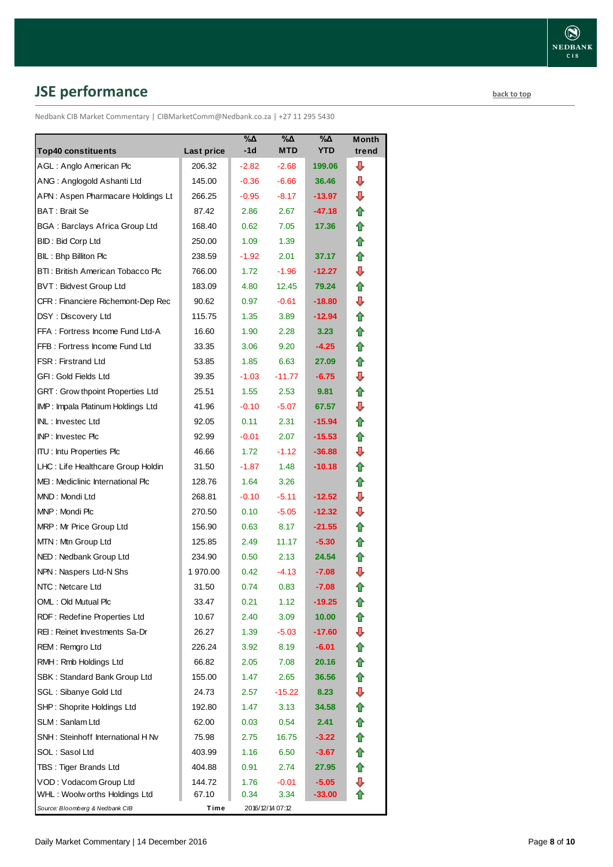# <span id="page-7-0"></span>**JSE performance [back to top](#page-0-0)**

Nedbank CIB Market Commentary | CIBMarketComm@Nedbank.co.za | +27 11 295 5430

| <b>Top40 constituents</b>             | Last price | %Δ<br>$-1d$ | %Δ<br><b>MTD</b> | %Δ<br><b>YTD</b> | Month<br>trend |
|---------------------------------------|------------|-------------|------------------|------------------|----------------|
| AGL: Anglo American Plc               | 206.32     | $-2.82$     | $-2.68$          | 199.06           | ⊕              |
| ANG: Anglogold Ashanti Ltd            | 145.00     | $-0.36$     | $-6.66$          | 36.46            | ⊕              |
| APN: Aspen Pharmacare Holdings Lt     | 266.25     | $-0.95$     | $-8.17$          | -13.97           | ⊕              |
| <b>BAT: Brait Se</b>                  | 87.42      | 2.86        | 2.67             | -47.18           | ⇑              |
| <b>BGA: Barclays Africa Group Ltd</b> | 168.40     | 0.62        | 7.05             | 17.36            | 合              |
| <b>BID: Bid Corp Ltd</b>              | 250.00     | 1.09        | 1.39             |                  | ✿              |
| BIL: Bhp Billiton Plc                 | 238.59     | $-1.92$     | 2.01             | 37.17            | ⇮              |
| BTI: British American Tobacco Plc     | 766.00     | 1.72        | $-1.96$          | $-12.27$         | ⇩              |
| <b>BVT: Bidvest Group Ltd</b>         | 183.09     | 4.80        | 12.45            | 79.24            | ⇑              |
| CFR: Financiere Richemont-Dep Rec     | 90.62      | 0.97        | $-0.61$          | $-18.80$         | ⇩              |
| DSY: Discovery Ltd                    | 115.75     | 1.35        | 3.89             | $-12.94$         | 合              |
| FFA: Fortress Income Fund Ltd-A       | 16.60      | 1.90        | 2.28             | 3.23             | 合              |
| FFB: Fortress Income Fund Ltd         | 33.35      | 3.06        | 9.20             | $-4.25$          | ⇑              |
| <b>FSR: Firstrand Ltd</b>             | 53.85      | 1.85        | 6.63             | 27.09            | ✿              |
| GFI: Gold Fields Ltd                  | 39.35      | $-1.03$     | $-11.77$         | $-6.75$          | ⇩              |
| GRT : Grow thpoint Properties Ltd     | 25.51      | 1.55        | 2.53             | 9.81             | ✿              |
| IMP: Impala Platinum Holdings Ltd     | 41.96      | $-0.10$     | $-5.07$          | 67.57            | ⇩              |
| INL: Investec Ltd                     | 92.05      | 0.11        | 2.31             | -15.94           | ⇑              |
| INP: Investec Plc                     | 92.99      | $-0.01$     | 2.07             | $-15.53$         | ✿              |
| <b>ITU: Intu Properties Plc</b>       | 46.66      | 1.72        | $-1.12$          | $-36.88$         | ⇩              |
| LHC: Life Healthcare Group Holdin     | 31.50      | $-1.87$     | 1.48             | $-10.18$         | ✿              |
| MEI: Mediclinic International Plc     | 128.76     | 1.64        | 3.26             |                  | ⇮              |
| MND: Mondi Ltd                        | 268.81     | $-0.10$     | $-5.11$          | $-12.52$         | ⇩              |
| MNP: Mondi Plc                        | 270.50     | 0.10        | $-5.05$          | $-12.32$         | ⊕              |
| MRP: Mr Price Group Ltd               | 156.90     | 0.63        | 8.17             | $-21.55$         | ⇑              |
| MTN: Mtn Group Ltd                    | 125.85     | 2.49        | 11.17            | $-5.30$          | ⇑              |
| NED: Nedbank Group Ltd                | 234.90     | 0.50        | 2.13             | 24.54            | ⇑              |
| NPN: Naspers Ltd-N Shs                | 1970.00    | 0.42        | $-4.13$          | $-7.08$          | ⇩              |
| NTC: Netcare Ltd                      | 31.50      | 0.74        | 0.83             | $-7.08$          | ⇑              |
| OML: Old Mutual Plc                   | 33.47      | 0.21        | 1.12             | $-19.25$         | €              |
| RDF: Redefine Properties Ltd          | 10.67      | 2.40        | 3.09             | 10.00            |                |
| REI: Reinet Investments Sa-Dr         | 26.27      | 1.39        | $-5.03$          | $-17.60$         | ⇩              |
| REM: Remgro Ltd                       | 226.24     | 3.92        | 8.19             | $-6.01$          | ✿              |
| RMH: Rmb Holdings Ltd                 | 66.82      | 2.05        | 7.08             | 20.16            | ✿              |
| SBK: Standard Bank Group Ltd          | 155.00     | 1.47        | 2.65             | 36.56            | ⇑              |
| SGL : Sibanye Gold Ltd                | 24.73      | 2.57        | -15.22           | 8.23             | ⊕              |
| SHP: Shoprite Holdings Ltd            | 192.80     | 1.47        | 3.13             | 34.58            | 合              |
| SLM: Sanlam Ltd                       | 62.00      | 0.03        | 0.54             | 2.41             | ✿              |
| SNH: Steinhoff International H Nv     | 75.98      | 2.75        | 16.75            | $-3.22$          | ✿              |
| SOL: Sasol Ltd                        | 403.99     | 1.16        | 6.50             | $-3.67$          | ✿              |
| TBS: Tiger Brands Ltd                 | 404.88     | 0.91        | 2.74             | 27.95            | 合              |
| VOD: Vodacom Group Ltd                | 144.72     | 1.76        | $-0.01$          | $-5.05$          | ⊕              |
| WHL: Woolw orths Holdings Ltd         | 67.10      | 0.34        | 3.34             | -33.00           |                |
| Source: Bloomberg & Nedbank CIB       | Time       |             | 2016/12/14 07:12 |                  |                |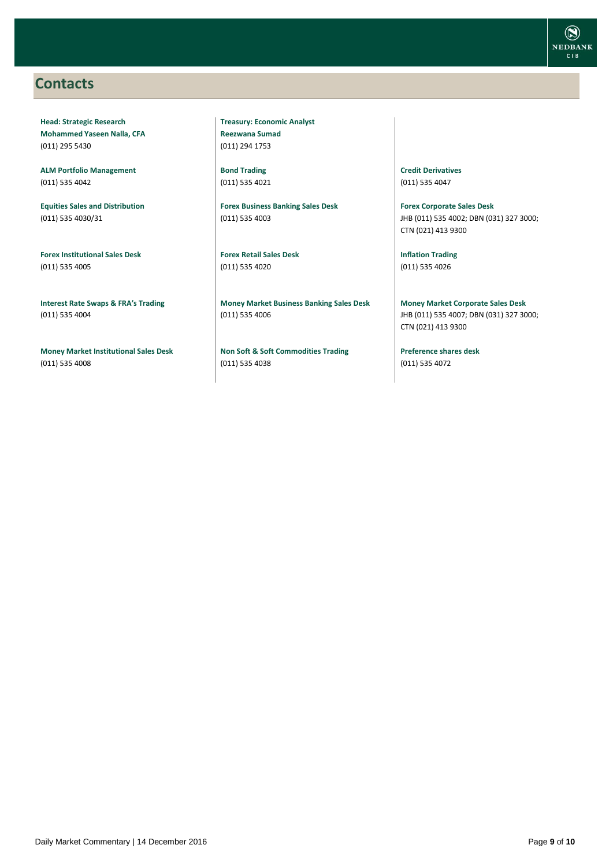### <span id="page-8-0"></span>**Contacts**

**Head: Strategic Research Mohammed Yaseen Nalla, CFA** (011) 295 5430

**ALM Portfolio Management** (011) 535 4042

**Equities Sales and Distribution** (011) 535 4030/31

**Forex Institutional Sales Desk** (011) 535 4005

**Interest Rate Swaps & FRA's Trading** (011) 535 4004

**Money Market Institutional Sales Desk** (011) 535 4008

**Treasury: Economic Analyst Reezwana Sumad** (011) 294 1753

**Bond Trading** (011) 535 4021

**Forex Business Banking Sales Desk** (011) 535 4003

**Forex Retail Sales Desk** (011) 535 4020

**Money Market Business Banking Sales Desk** (011) 535 4006

**Non Soft & Soft Commodities Trading** (011) 535 4038

**Credit Derivatives**  (011) 535 4047

**Forex Corporate Sales Desk** JHB (011) 535 4002; DBN (031) 327 3000; CTN (021) 413 9300

**Inflation Trading** (011) 535 4026

**Money Market Corporate Sales Desk** JHB (011) 535 4007; DBN (031) 327 3000; CTN (021) 413 9300

**Preference shares desk** (011) 535 4072